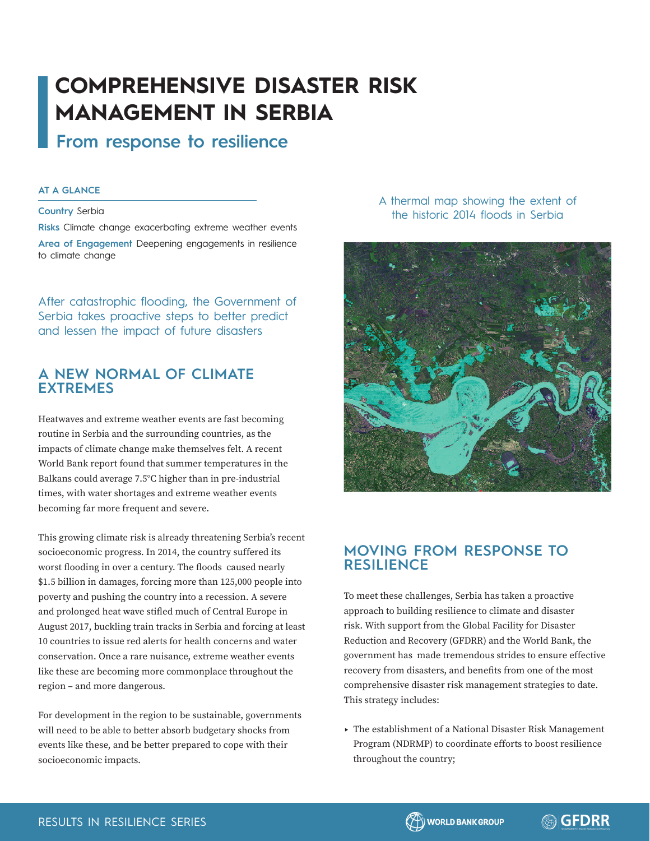# **COMPREHENSIVE DISASTER RISK MANAGEMENT IN SERBIA**

**From response to resilience**

#### **AT A GLANCE**

#### **Country** Serbia

**Risks** Climate change exacerbating extreme weather events **Area of Engagement** Deepening engagements in resilience to climate change

After catastrophic flooding, the Government of Serbia takes proactive steps to better predict and lessen the impact of future disasters

## **A NEW NORMAL OF CLIMATE EXTREMES**

Heatwaves and extreme weather events are fast becoming routine in Serbia and the surrounding countries, as the impacts of climate change make themselves felt. A recent World Bank report found that summer temperatures in the Balkans could average 7.5°C higher than in pre-industrial times, with water shortages and extreme weather events becoming far more frequent and severe.

This growing climate risk is already threatening Serbia's recent socioeconomic progress. In 2014, the country suffered its worst flooding in over a century. The floods caused nearly \$1.5 billion in damages, forcing more than 125,000 people into poverty and pushing the country into a recession. A severe and prolonged heat wave stifled much of Central Europe in August 2017, buckling train tracks in Serbia and forcing at least 10 countries to issue red alerts for health concerns and water conservation. Once a rare nuisance, extreme weather events like these are becoming more commonplace throughout the region – and more dangerous.

For development in the region to be sustainable, governments will need to be able to better absorb budgetary shocks from events like these, and be better prepared to cope with their socioeconomic impacts.

#### A thermal map showing the extent of the historic 2014 floods in Serbia



## **MOVING FROM RESPONSE TO RESILIENCE**

To meet these challenges, Serbia has taken a proactive approach to building resilience to climate and disaster risk. With support from the Global Facility for Disaster Reduction and Recovery (GFDRR) and the World Bank, the government has made tremendous strides to ensure effective recovery from disasters, and benefits from one of the most comprehensive disaster risk management strategies to date. This strategy includes:

► The establishment of a National Disaster Risk Management Program (NDRMP) to coordinate efforts to boost resilience throughout the country;

**AGFDRR**